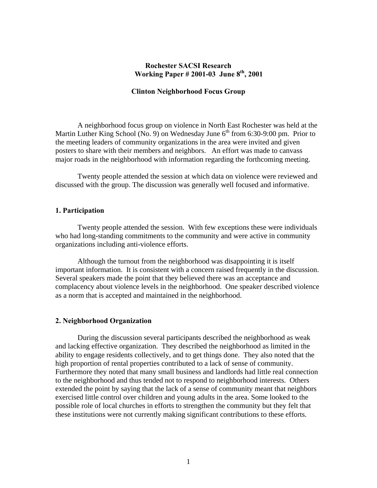## **Rochester SACSI Research Working Paper # 2001-03 June 8th, 2001**

## **Clinton Neighborhood Focus Group**

 A neighborhood focus group on violence in North East Rochester was held at the Martin Luther King School (No. 9) on Wednesday June  $6<sup>th</sup>$  from 6:30-9:00 pm. Prior to the meeting leaders of community organizations in the area were invited and given posters to share with their members and neighbors. An effort was made to canvass major roads in the neighborhood with information regarding the forthcoming meeting.

 Twenty people attended the session at which data on violence were reviewed and discussed with the group. The discussion was generally well focused and informative.

## **1. Participation**

 Twenty people attended the session. With few exceptions these were individuals who had long-standing commitments to the community and were active in community organizations including anti-violence efforts.

 Although the turnout from the neighborhood was disappointing it is itself important information. It is consistent with a concern raised frequently in the discussion. Several speakers made the point that they believed there was an acceptance and complacency about violence levels in the neighborhood. One speaker described violence as a norm that is accepted and maintained in the neighborhood.

#### **2. Neighborhood Organization**

 During the discussion several participants described the neighborhood as weak and lacking effective organization. They described the neighborhood as limited in the ability to engage residents collectively, and to get things done. They also noted that the high proportion of rental properties contributed to a lack of sense of community. Furthermore they noted that many small business and landlords had little real connection to the neighborhood and thus tended not to respond to neighborhood interests. Others extended the point by saying that the lack of a sense of community meant that neighbors exercised little control over children and young adults in the area. Some looked to the possible role of local churches in efforts to strengthen the community but they felt that these institutions were not currently making significant contributions to these efforts.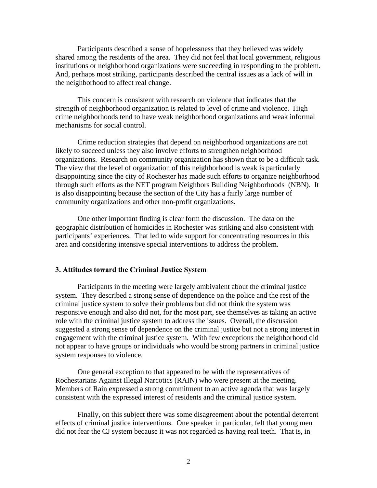Participants described a sense of hopelessness that they believed was widely shared among the residents of the area. They did not feel that local government, religious institutions or neighborhood organizations were succeeding in responding to the problem. And, perhaps most striking, participants described the central issues as a lack of will in the neighborhood to affect real change.

 This concern is consistent with research on violence that indicates that the strength of neighborhood organization is related to level of crime and violence. High crime neighborhoods tend to have weak neighborhood organizations and weak informal mechanisms for social control.

 Crime reduction strategies that depend on neighborhood organizations are not likely to succeed unless they also involve efforts to strengthen neighborhood organizations. Research on community organization has shown that to be a difficult task. The view that the level of organization of this neighborhood is weak is particularly disappointing since the city of Rochester has made such efforts to organize neighborhood through such efforts as the NET program Neighbors Building Neighborhoods (NBN). It is also disappointing because the section of the City has a fairly large number of community organizations and other non-profit organizations.

 One other important finding is clear form the discussion. The data on the geographic distribution of homicides in Rochester was striking and also consistent with participants' experiences. That led to wide support for concentrating resources in this area and considering intensive special interventions to address the problem.

#### **3. Attitudes toward the Criminal Justice System**

 Participants in the meeting were largely ambivalent about the criminal justice system. They described a strong sense of dependence on the police and the rest of the criminal justice system to solve their problems but did not think the system was responsive enough and also did not, for the most part, see themselves as taking an active role with the criminal justice system to address the issues. Overall, the discussion suggested a strong sense of dependence on the criminal justice but not a strong interest in engagement with the criminal justice system. With few exceptions the neighborhood did not appear to have groups or individuals who would be strong partners in criminal justice system responses to violence.

 One general exception to that appeared to be with the representatives of Rochestarians Against Illegal Narcotics (RAIN) who were present at the meeting. Members of Rain expressed a strong commitment to an active agenda that was largely consistent with the expressed interest of residents and the criminal justice system.

 Finally, on this subject there was some disagreement about the potential deterrent effects of criminal justice interventions. One speaker in particular, felt that young men did not fear the CJ system because it was not regarded as having real teeth. That is, in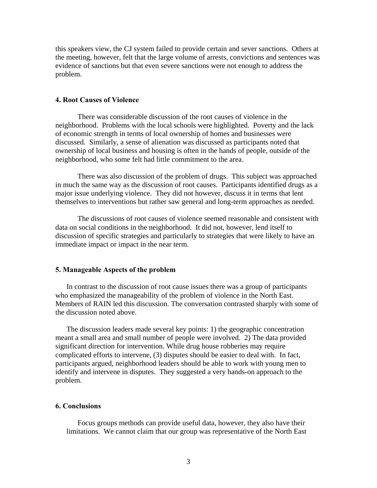this speakers view, the CJ system failed to provide certain and sever sanctions. Others at the meeting, however, felt that the large volume of arrests, convictions and sentences was evidence of sanctions but that even severe sanctions were not enough to address the problem.

#### **4. Root Causes of Violence**

 There was considerable discussion of the root causes of violence in the neighborhood. Problems with the local schools were highlighted. Poverty and the lack of economic strength in terms of local ownership of homes and businesses were discussed. Similarly, a sense of alienation was discussed as participants noted that ownership of local business and housing is often in the hands of people, outside of the neighborhood, who some felt had little commitment to the area.

 There was also discussion of the problem of drugs. This subject was approached in much the same way as the discussion of root causes. Participants identified drugs as a major issue underlying violence. They did not however, discuss it in terms that lent themselves to interventions but rather saw general and long-term approaches as needed.

 The discussions of root causes of violence seemed reasonable and consistent with data on social conditions in the neighborhood. It did not, however, lend itself to discussion of specific strategies and particularly to strategies that were likely to have an immediate impact or impact in the near term.

#### **5. Manageable Aspects of the problem**

In contrast to the discussion of root cause issues there was a group of participants who emphasized the manageability of the problem of violence in the North East. Members of RAIN led this discussion. The conversation contrasted sharply with some of the discussion noted above.

The discussion leaders made several key points: 1) the geographic concentration meant a small area and small number of people were involved. 2) The data provided significant direction for intervention. While drug house robberies may require complicated efforts to intervene, (3) disputes should be easier to deal with. In fact, participants argued, neighborhood leaders should be able to work with young men to identify and intervene in disputes. They suggested a very hands-on approach to the problem.

### **6. Conclusions**

 Focus groups methods can provide useful data, however, they also have their limitations. We cannot claim that our group was representative of the North East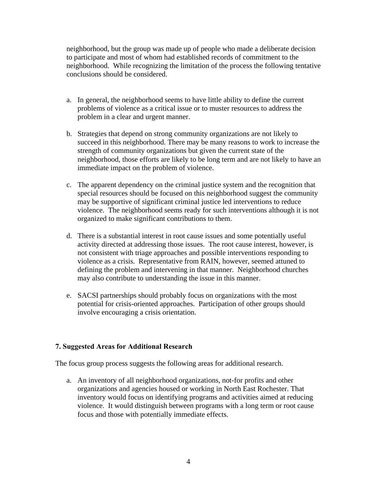neighborhood, but the group was made up of people who made a deliberate decision to participate and most of whom had established records of commitment to the neighborhood. While recognizing the limitation of the process the following tentative conclusions should be considered.

- a. In general, the neighborhood seems to have little ability to define the current problems of violence as a critical issue or to muster resources to address the problem in a clear and urgent manner.
- b. Strategies that depend on strong community organizations are not likely to succeed in this neighborhood. There may be many reasons to work to increase the strength of community organizations but given the current state of the neighborhood, those efforts are likely to be long term and are not likely to have an immediate impact on the problem of violence.
- c. The apparent dependency on the criminal justice system and the recognition that special resources should be focused on this neighborhood suggest the community may be supportive of significant criminal justice led interventions to reduce violence. The neighborhood seems ready for such interventions although it is not organized to make significant contributions to them.
- d. There is a substantial interest in root cause issues and some potentially useful activity directed at addressing those issues. The root cause interest, however, is not consistent with triage approaches and possible interventions responding to violence as a crisis. Representative from RAIN, however, seemed attuned to defining the problem and intervening in that manner. Neighborhood churches may also contribute to understanding the issue in this manner.
- e. SACSI partnerships should probably focus on organizations with the most potential for crisis-oriented approaches. Participation of other groups should involve encouraging a crisis orientation.

# **7. Suggested Areas for Additional Research**

The focus group process suggests the following areas for additional research.

a. An inventory of all neighborhood organizations, not-for profits and other organizations and agencies housed or working in North East Rochester. That inventory would focus on identifying programs and activities aimed at reducing violence. It would distinguish between programs with a long term or root cause focus and those with potentially immediate effects.